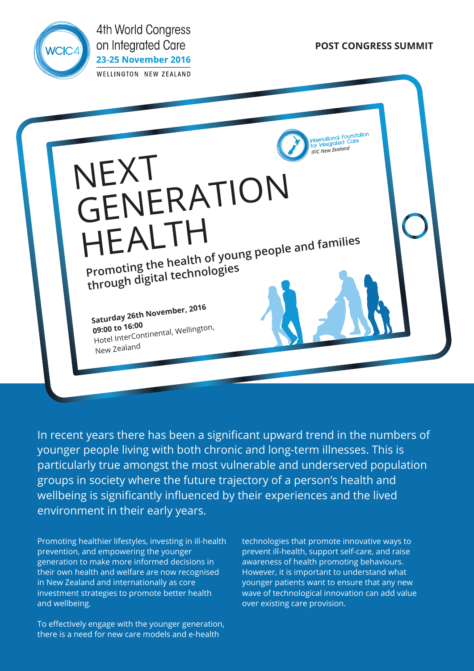

**4th World Congress** on Integrated Care **23-25 November 2016 WELLINGTON NEW ZEALAND** 

**POST CONGRESS SUMMIT**



In recent years there has been a significant upward trend in the numbers of younger people living with both chronic and long-term illnesses. This is particularly true amongst the most vulnerable and underserved population groups in society where the future trajectory of a person's health and wellbeing is significantly influenced by their experiences and the lived environment in their early years.

Promoting healthier lifestyles, investing in ill-health prevention, and empowering the younger generation to make more informed decisions in their own health and welfare are now recognised in New Zealand and internationally as core investment strategies to promote better health and wellbeing.

To effectively engage with the younger generation, there is a need for new care models and e-health

technologies that promote innovative ways to prevent ill-health, support self-care, and raise awareness of health promoting behaviours. However, it is important to understand what younger patients want to ensure that any new wave of technological innovation can add value over existing care provision.